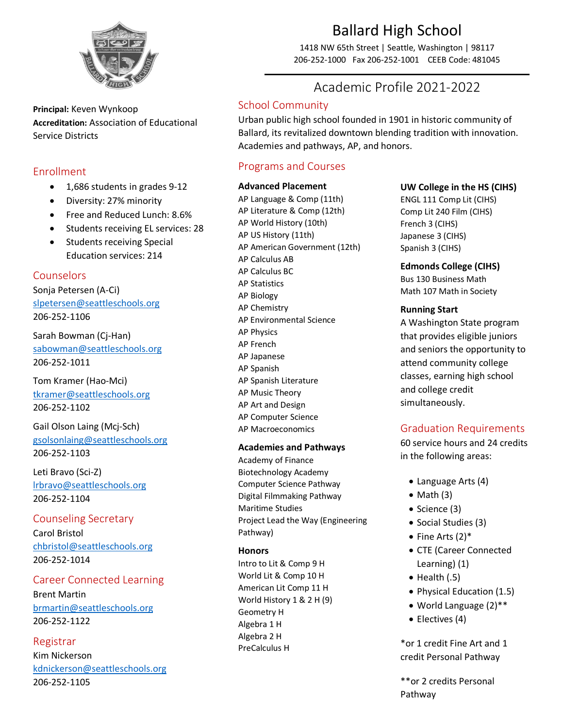

**Principal:** Keven Wynkoop **Accreditation:** Association of Educational Service Districts

## Enrollment

- 1,686 students in grades 9-12
- Diversity: 27% minority
- Free and Reduced Lunch: 8.6%
- Students receiving EL services: 28
- Students receiving Special Education services: 214

## Counselors

Sonja Petersen (A-Ci) [slpetersen@seattleschools.org](mailto:slpetersen@seattleschools.org) 206-252-1106

Sarah Bowman (Cj-Han) [sabowman@seattleschools.org](mailto:sabowman@seattleschools.org) 206-252-1011

Tom Kramer (Hao-Mci) [tkramer@seattleschools.org](mailto:tkramer@seattleschools.org) 206-252-1102

Gail Olson Laing (Mcj-Sch) [gsolsonlaing@seattleschools.org](mailto:gsolsonlaing@seattleschools.org) 206-252-1103

Leti Bravo (Sci-Z) [lrbravo@seattleschools.org](mailto:lrbravo@seattleschools.org) 206-252-1104

## Counseling Secretary

Carol Bristol [chbristol@seattleschools.org](mailto:chbristol@seattleschools.org) 206-252-1014

## Career Connected Learning

Brent Martin [brmartin@seattleschools.org](mailto:brmartin@seattleschools.org) 206-252-1122

## Registrar

Kim Nickerson [kdnickerson@seattleschools.org](mailto:kdnickerson@seattleschools.org) 206-252-1105

# Ballard High School

1418 NW 65th Street | Seattle, Washington | 98117 206-252-1000 Fax 206-252-1001 CEEB Code: 481045

## Academic Profile 2021-2022

## School Community

Urban public high school founded in 1901 in historic community of Ballard, its revitalized downtown blending tradition with innovation. Academies and pathways, AP, and honors.

## Programs and Courses

#### **Advanced Placement**

AP Language & Comp (11th) AP Literature & Comp (12th) AP World History (10th) AP US History (11th) AP American Government (12th) AP Calculus AB AP Calculus BC AP Statistics AP Biology AP Chemistry AP Environmental Science AP Physics AP French AP Japanese AP Spanish AP Spanish Literature AP Music Theory AP Art and Design AP Computer Science AP Macroeconomics

#### **Academies and Pathways**

Academy of Finance Biotechnology Academy Computer Science Pathway Digital Filmmaking Pathway Maritime Studies Project Lead the Way (Engineering Pathway)

#### **Honors**

Intro to Lit & Comp 9 H World Lit & Comp 10 H American Lit Comp 11 H World History 1 & 2 H (9) Geometry H Algebra 1 H Algebra 2 H PreCalculus H

## **UW College in the HS (CIHS)**

ENGL 111 Comp Lit (CIHS) Comp Lit 240 Film (CIHS) French 3 (CIHS) Japanese 3 (CIHS) Spanish 3 (CIHS)

**Edmonds College (CIHS)** Bus 130 Business Math Math 107 Math in Society

#### **Running Start**

A Washington State program that provides eligible juniors and seniors the opportunity to attend community college classes, earning high school and college credit simultaneously.

## Graduation Requirements

60 service hours and 24 credits in the following areas:

- Language Arts (4)
- $\bullet$  Math (3)
- Science (3)
- Social Studies (3)
- Fine Arts (2)\*
- CTE (Career Connected Learning) (1)
- $\bullet$  Health (.5)
- Physical Education (1.5)
- World Language (2)\*\*
- Electives (4)

\*or 1 credit Fine Art and 1 credit Personal Pathway

\*\*or 2 credits Personal Pathway